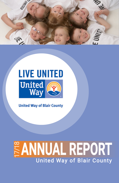





**United Way of Blair County** 

# 17/18 **ANNUAL REPORT** United Way of Blair County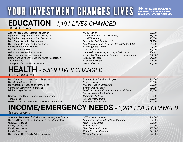# YOUR INVESTMENT CHANGES LIVES **BAC OF EVERY DOLLAR IS**

**INVESTED DIRECTLY INTO BLAIR COUNTY PROGRAMS!**

### **EDUCATION** *- 1,191 LIVES CHANGED*

*\$88,900 Investment*

| Altoona Area School District Foundation          |
|--------------------------------------------------|
| Big Brothers Big Sisters of Blair County, Inc.   |
| Big Brothers Big Sisters of Blair County, Inc.   |
| <b>Blair County Chamber Foundation</b>           |
| <b>Blair County Respiratory Disease Society</b>  |
| Claysburg Area Public Library                    |
| <b>Garver Memorial YMCA</b>                      |
| Girl Scouts Western Pennsylvania                 |
| <b>Gloria Gates Memorial Foundation</b>          |
| Home Nursing Agency & Visiting Nurse Association |
| Joshua House                                     |
| Young Life of Central Pennsylvania               |

## **HEALTH** *- 5,529 LIVES CHANGED*

*\$148,100 Investment*

| <b>Blair County Community Action Program</b>     | Mountain Lion BackPack Program                                                     | \$15,000 |
|--------------------------------------------------|------------------------------------------------------------------------------------|----------|
| <b>Blair Senior Services, Inc.</b>               | Meals on Wheels                                                                    | \$9,000  |
| Blair/Clearfield Association for the Blind       | <b>Preschool Vision Screenings</b>                                                 | \$8,000  |
| <b>Central PA Community Foundation</b>           | <b>Scarlet Dragon Packs</b>                                                        | \$2,000  |
| <b>MidPenn Legal Services</b>                    | Legal Services for Victims of Domestic Violence,<br>Sexual Violence & Intimidation | \$8,000  |
| Northern Blair County Recreation Commission      | Corporate Challenge                                                                | \$1,000  |
| Through, Inc.                                    | <b>Through Health Clinic</b>                                                       | \$5,000  |
| UPMC Altoona Partnership for a Healthy Community | <b>Risk Reduction Program</b>                                                      | \$18,000 |

### **INCOME/EMERGENCY NEEDS** *- 2,201 LIVES CHANGED*

*\$66,000 Investment*

| American Red Cross of PA Mountains Serving Blair County | 24/7 Disaster Services                        | \$18,000 |
|---------------------------------------------------------|-----------------------------------------------|----------|
| Catholic Charities of the Diocese of Altoona/Johnstown  | <b>Emergency Financial Assistance Program</b> | \$15,000 |
| CONTACT Altoona                                         | PA 2-1-1 Call Center                          | \$9,100  |
| Family Services Inc.                                    | <b>Family Shelter</b>                         | \$27,000 |
| <b>Family Services Inc.</b>                             | <b>Teen Center and Shelter</b>                | \$27,000 |
| <b>Family Services Inc.</b>                             | <b>Victim Services Program</b>                | \$27,000 |
| <b>Blair County Community Action Program</b>            | <b>Housing Counseling</b>                     | \$25,000 |
|                                                         |                                               |          |

| Altoona Area School District Foundation          | <b>Project SOAR</b>                                 | \$6,500  |
|--------------------------------------------------|-----------------------------------------------------|----------|
| Big Brothers Big Sisters of Blair County, Inc.   | Community Youth 1 to 1 Mentoring                    | \$8,000  |
| Big Brothers Big Sisters of Blair County, Inc.   | <b>SMART Mentoring</b>                              | \$7,000  |
| <b>Blair County Chamber Foundation</b>           | Leadership Blair County Youth                       | \$2,900  |
| <b>Blair County Respiratory Disease Society</b>  | Safe Sleep Education (Back to Sleep/Cribs for Kids) | \$6,000  |
| Claysburg Area Public Library                    | Learning @ the Library                              | \$2,000  |
| <b>Garver Memorial YMCA</b>                      | <b>YMCA Preschool</b>                               | \$5,000  |
| Girl Scouts Western Pennsylvania                 | Camperships and Programming in Blair County         | \$500    |
| Gloria Gates Memorial Foundation                 | After School Programs for Low Income Neighborhoods  | \$30,000 |
| Home Nursing Agency & Visiting Nurse Association | The Healing Patch                                   | \$4,000  |
| Joshua House                                     | After-School Hours                                  | \$10,000 |
| Young Life of Central Pennsylvania               | Young Life Club                                     | \$7,000  |
|                                                  |                                                     |          |